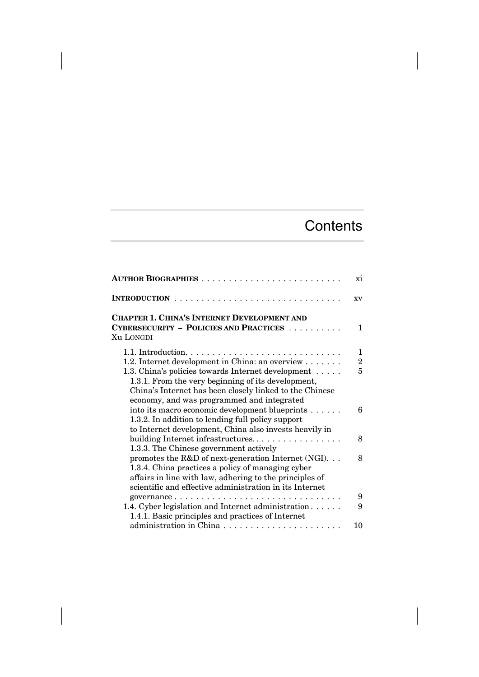## **Contents**

|                                                                                                                                                                                                                                 | xi                       |
|---------------------------------------------------------------------------------------------------------------------------------------------------------------------------------------------------------------------------------|--------------------------|
| $\mathbf{r}$ , $\mathbf{r}$ , $\mathbf{r}$ , $\mathbf{r}$ , $\mathbf{r}$ , $\mathbf{r}$ , $\mathbf{r}$ , $\mathbf{r}$                                                                                                           | XV                       |
| <b>CHAPTER 1. CHINA'S INTERNET DEVELOPMENT AND</b><br><b>CYBERSECURITY - POLICIES AND PRACTICES</b>                                                                                                                             | 1                        |
| Xu LONGDI                                                                                                                                                                                                                       |                          |
| 1.2. Internet development in China: an overview<br>1.3. China's policies towards Internet development<br>1.3.1. From the very beginning of its development,<br>China's Internet has been closely linked to the Chinese          | 1<br>$\overline{2}$<br>5 |
| economy, and was programmed and integrated<br>into its macro economic development blueprints<br>1.3.2. In addition to lending full policy support<br>to Internet development, China also invests heavily in                     | 6                        |
| building Internet infrastructures<br>1.3.3. The Chinese government actively                                                                                                                                                     | 8                        |
| promotes the $R&D$ of next-generation Internet (NGI)<br>1.3.4. China practices a policy of managing cyber<br>affairs in line with law, adhering to the principles of<br>scientific and effective administration in its Internet | 8                        |
|                                                                                                                                                                                                                                 | 9                        |
| 1.4. Cyber legislation and Internet administration<br>1.4.1. Basic principles and practices of Internet                                                                                                                         | 9                        |
| administration in China<br>.                                                                                                                                                                                                    | 10                       |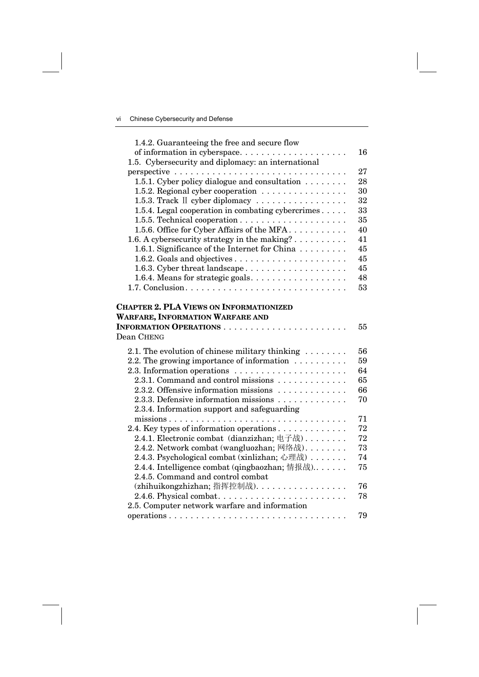| 1.4.2. Guaranteeing the free and secure flow                                       |    |
|------------------------------------------------------------------------------------|----|
| of information in cyberspace                                                       | 16 |
| 1.5. Cybersecurity and diplomacy: an international                                 |    |
|                                                                                    | 27 |
| 1.5.1. Cyber policy dialogue and consultation                                      | 28 |
| 1.5.2. Regional cyber cooperation                                                  | 30 |
| 1.5.3. Track II cyber diplomacy                                                    | 32 |
| 1.5.4. Legal cooperation in combating cybercrimes                                  | 33 |
|                                                                                    | 35 |
| 1.5.6. Office for Cyber Affairs of the MFA                                         | 40 |
| 1.6. A cybersecurity strategy in the making?                                       | 41 |
| 1.6.1. Significance of the Internet for China                                      | 45 |
|                                                                                    | 45 |
| 1.6.3. Cyber threat landscape                                                      | 45 |
| 1.6.4. Means for strategic goals.                                                  | 48 |
|                                                                                    | 53 |
| <b>WARFARE, INFORMATION WARFARE AND</b><br>Dean CHENG                              | 55 |
| 2.1. The evolution of chinese military thinking                                    | 56 |
| 2.2. The growing importance of information $\dots \dots \dots$                     | 59 |
| 2.3. Information operations $\dots \dots \dots \dots \dots \dots \dots$            | 64 |
| 2.3.1. Command and control missions                                                | 65 |
| 2.3.2. Offensive information missions                                              | 66 |
| 2.3.3. Defensive information missions                                              | 70 |
| 2.3.4. Information support and safeguarding                                        |    |
|                                                                                    | 71 |
| 2.4. Key types of information operations                                           | 72 |
| 2.4.1. Electronic combat (dianzizhan; 电子战)                                         | 72 |
| 2.4.2. Network combat (wangluozhan; 网络战)                                           | 73 |
| 2.4.3. Psychological combat (xinlizhan; 心理战)                                       | 74 |
| 2.4.4. Intelligence combat (qingbaozhan; 情报战)<br>2.4.5. Command and control combat | 75 |
| (zhihuikongzhizhan; 指挥控制战).                                                        | 76 |
|                                                                                    | 78 |
| 2.5. Computer network warfare and information                                      |    |
|                                                                                    | 79 |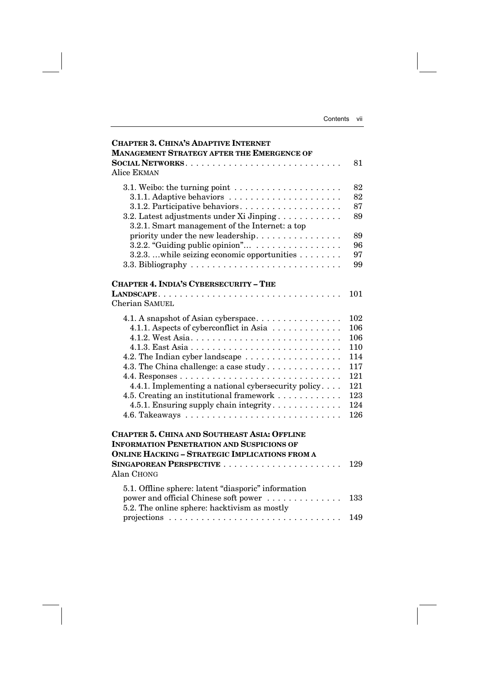| <b>CHAPTER 3. CHINA'S ADAPTIVE INTERNET</b>                                    |            |
|--------------------------------------------------------------------------------|------------|
| <b>MANAGEMENT STRATEGY AFTER THE EMERGENCE OF</b>                              | 81         |
| Alice EKMAN                                                                    |            |
| 3.1. Weibo: the turning point $\dots \dots \dots \dots \dots \dots \dots$      | 82         |
| 3.1.1. Adaptive behaviors                                                      | 82         |
| 3.1.2. Participative behaviors                                                 | 87         |
| 3.2. Latest adjustments under Xi Jinping                                       | 89         |
| 3.2.1. Smart management of the Internet: a top                                 |            |
| priority under the new leadership.                                             | 89         |
| 3.2.2. "Guiding public opinion"<br>3.2.3. while seizing economic opportunities | 96<br>97   |
|                                                                                | 99         |
|                                                                                |            |
| <b>CHAPTER 4. INDIA'S CYBERSECURITY - THE</b>                                  |            |
|                                                                                | 101        |
| Cherian SAMUEL                                                                 |            |
| 4.1. A snapshot of Asian cyberspace                                            | 102        |
| 4.1.1. Aspects of cyberconflict in Asia                                        | 106        |
| 4.1.2. West Asia                                                               | 106        |
|                                                                                | 110        |
|                                                                                | 114        |
| 4.3. The China challenge: a case study                                         | 117        |
|                                                                                | 121        |
| 4.4.1. Implementing a national cybersecurity policy                            | 121        |
| 4.5. Creating an institutional framework                                       | 123        |
| 4.5.1. Ensuring supply chain integrity                                         | 124<br>126 |
|                                                                                |            |
| <b>CHAPTER 5. CHINA AND SOUTHEAST ASIA: OFFLINE</b>                            |            |
| <b>INFORMATION PENETRATION AND SUSPICIONS OF</b>                               |            |
| <b>ONLINE HACKING - STRATEGIC IMPLICATIONS FROM A</b>                          |            |
|                                                                                | 129        |
| Alan CHONG                                                                     |            |
| 5.1. Offline sphere: latent "diasporic" information                            |            |
| power and official Chinese soft power                                          | 133        |
| 5.2. The online sphere: hacktivism as mostly                                   |            |
|                                                                                | 149        |

projections ................................ 149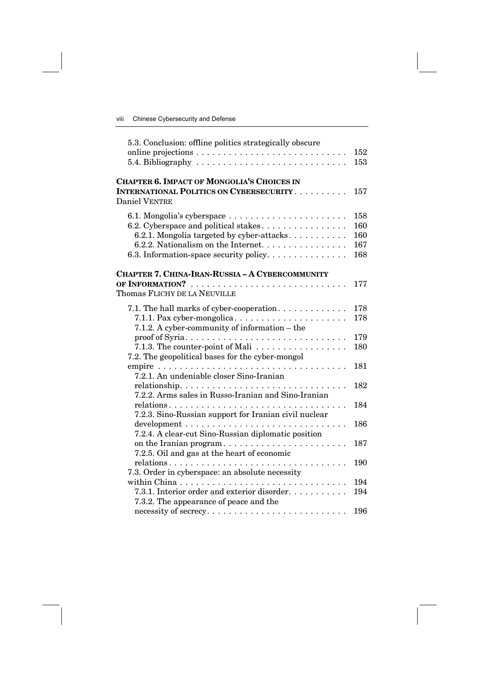| 5.3. Conclusion: offline politics strategically obscure                     |     |
|-----------------------------------------------------------------------------|-----|
|                                                                             | 152 |
| 5.4. Bibliography $\ldots \ldots \ldots \ldots \ldots \ldots \ldots \ldots$ | 153 |
| <b>CHAPTER 6. IMPACT OF MONGOLIA'S CHOICES IN</b>                           |     |
| <b>INTERNATIONAL POLITICS ON CYBERSECURITY</b>                              | 157 |
| Daniel VENTRE                                                               |     |
|                                                                             | 158 |
| 6.2. Cyberspace and political stakes                                        | 160 |
| 6.2.1. Mongolia targeted by cyber-attacks                                   | 160 |
| 6.2.2. Nationalism on the Internet.                                         | 167 |
| 6.3. Information-space security policy                                      | 168 |
| <b>CHAPTER 7. CHINA-IRAN-RUSSIA - A CYBERCOMMUNITY</b>                      |     |
| OF INFORMATION?                                                             | 177 |
| Thomas FLICHY DE LA NEUVILLE                                                |     |
| 7.1. The hall marks of cyber-cooperation                                    | 178 |
| 7.1.1. Pax cyber-mongolica                                                  | 178 |
| 7.1.2. A cyber-community of information – the                               |     |
|                                                                             | 179 |
| 7.1.3. The counter-point of Mali $\ldots$                                   | 180 |
| 7.2. The geopolitical bases for the cyber-mongol                            |     |
|                                                                             | 181 |
| 7.2.1. An undeniable closer Sino-Iranian                                    |     |
|                                                                             | 182 |
| 7.2.2. Arms sales in Russo-Iranian and Sino-Iranian                         |     |
|                                                                             | 184 |
| 7.2.3. Sino-Russian support for Iranian civil nuclear                       |     |
|                                                                             | 186 |
| 7.2.4. A clear-cut Sino-Russian diplomatic position                         |     |
| on the Iranian program<br>7.2.5. Oil and gas at the heart of economic       | 187 |
|                                                                             | 190 |
| 7.3. Order in cyberspace: an absolute necessity                             |     |
|                                                                             | 194 |
| 7.3.1. Interior order and exterior disorder                                 | 194 |
| 7.3.2. The appearance of peace and the                                      |     |
|                                                                             | 196 |
|                                                                             |     |